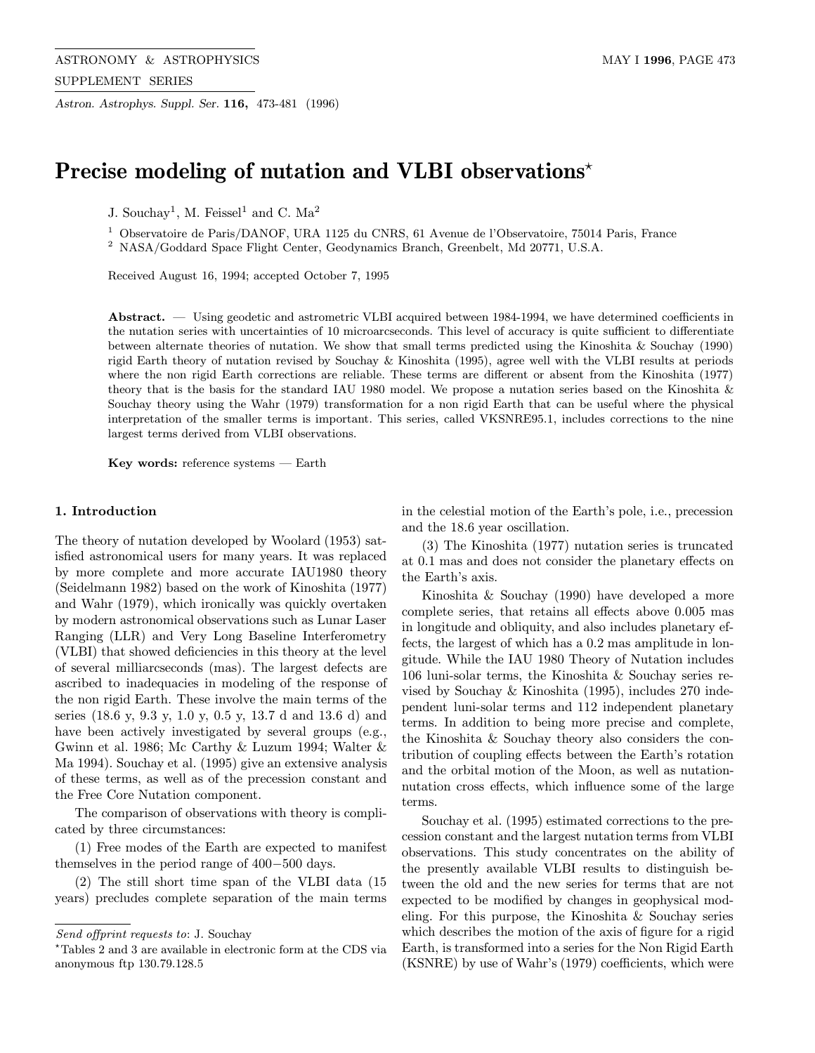Astron. Astrophys. Suppl. Ser. 116, 473-481 (1996)

# Precise modeling of nutation and VLBI observations<sup>\*</sup>

J. Souchay<sup>1</sup>, M. Feissel<sup>1</sup> and C. Ma<sup>2</sup>

<sup>1</sup> Observatoire de Paris/DANOF, URA 1125 du CNRS, 61 Avenue de l'Observatoire, 75014 Paris, France

<sup>2</sup> NASA/Goddard Space Flight Center, Geodynamics Branch, Greenbelt, Md 20771, U.S.A.

Received August 16, 1994; accepted October 7, 1995

Abstract. — Using geodetic and astrometric VLBI acquired between 1984-1994, we have determined coefficients in the nutation series with uncertainties of 10 microarcseconds. This level of accuracy is quite sufficient to differentiate between alternate theories of nutation. We show that small terms predicted using the Kinoshita & Souchay (1990) rigid Earth theory of nutation revised by Souchay & Kinoshita (1995), agree well with the VLBI results at periods where the non rigid Earth corrections are reliable. These terms are different or absent from the Kinoshita (1977) theory that is the basis for the standard IAU 1980 model. We propose a nutation series based on the Kinoshita & Souchay theory using the Wahr (1979) transformation for a non rigid Earth that can be useful where the physical interpretation of the smaller terms is important. This series, called VKSNRE95.1, includes corrections to the nine largest terms derived from VLBI observations.

Key words: reference systems — Earth

#### 1. Introduction

The theory of nutation developed by Woolard (1953) satisfied astronomical users for many years. It was replaced by more complete and more accurate IAU1980 theory (Seidelmann 1982) based on the work of Kinoshita (1977) and Wahr (1979), which ironically was quickly overtaken by modern astronomical observations such as Lunar Laser Ranging (LLR) and Very Long Baseline Interferometry (VLBI) that showed deficiencies in this theory at the level of several milliarcseconds (mas). The largest defects are ascribed to inadequacies in modeling of the response of the non rigid Earth. These involve the main terms of the series (18.6 y, 9.3 y, 1.0 y, 0.5 y, 13.7 d and 13.6 d) and have been actively investigated by several groups (e.g., Gwinn et al. 1986; Mc Carthy & Luzum 1994; Walter & Ma 1994). Souchay et al. (1995) give an extensive analysis of these terms, as well as of the precession constant and the Free Core Nutation component.

The comparison of observations with theory is complicated by three circumstances:

(1) Free modes of the Earth are expected to manifest themselves in the period range of 400−500 days.

(2) The still short time span of the VLBI data (15 years) precludes complete separation of the main terms in the celestial motion of the Earth's pole, i.e., precession and the 18.6 year oscillation.

(3) The Kinoshita (1977) nutation series is truncated at 0.1 mas and does not consider the planetary effects on the Earth's axis.

Kinoshita & Souchay (1990) have developed a more complete series, that retains all effects above 0.005 mas in longitude and obliquity, and also includes planetary effects, the largest of which has a 0.2 mas amplitude in longitude. While the IAU 1980 Theory of Nutation includes 106 luni-solar terms, the Kinoshita & Souchay series revised by Souchay & Kinoshita (1995), includes 270 independent luni-solar terms and 112 independent planetary terms. In addition to being more precise and complete, the Kinoshita & Souchay theory also considers the contribution of coupling effects between the Earth's rotation and the orbital motion of the Moon, as well as nutationnutation cross effects, which influence some of the large terms.

Souchay et al. (1995) estimated corrections to the precession constant and the largest nutation terms from VLBI observations. This study concentrates on the ability of the presently available VLBI results to distinguish between the old and the new series for terms that are not expected to be modified by changes in geophysical modeling. For this purpose, the Kinoshita & Souchay series which describes the motion of the axis of figure for a rigid Earth, is transformed into a series for the Non Rigid Earth (KSNRE) by use of Wahr's (1979) coefficients, which were

Send offprint requests to: J. Souchay

<sup>?</sup>Tables 2 and 3 are available in electronic form at the CDS via anonymous ftp 130.79.128.5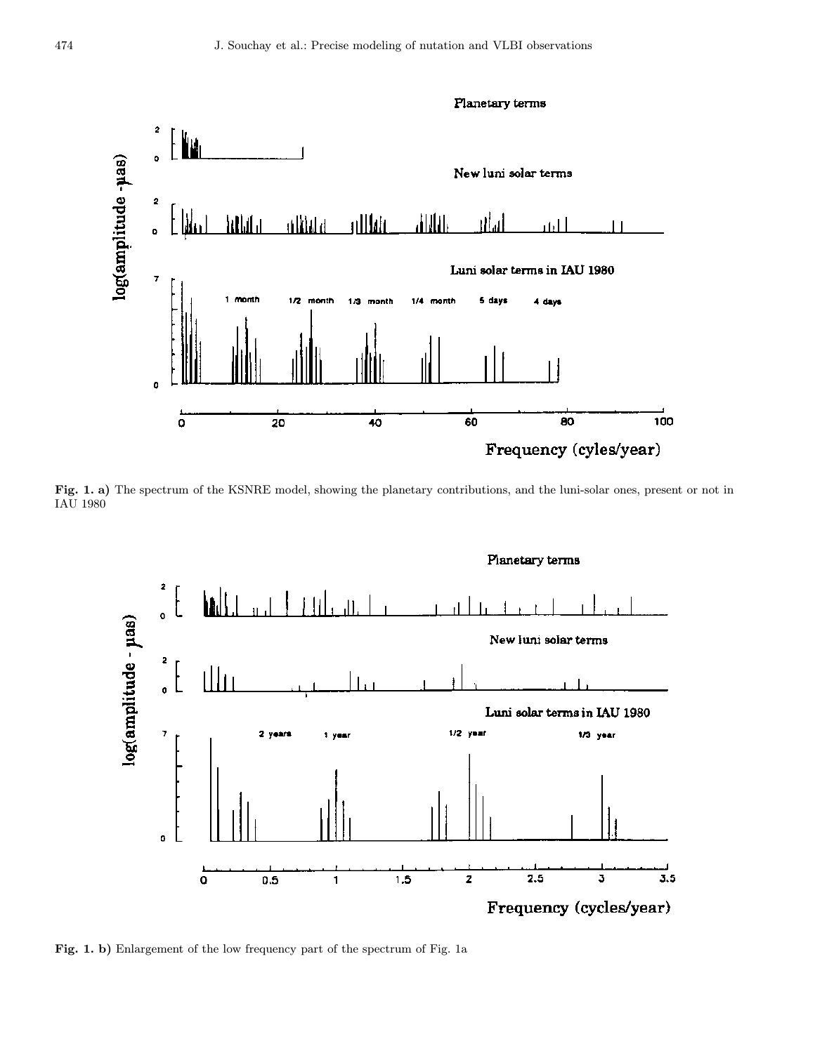

Fig. 1. a) The spectrum of the KSNRE model, showing the planetary contributions, and the luni-solar ones, present or not in IAU 1980



Fig. 1. b) Enlargement of the low frequency part of the spectrum of Fig. 1a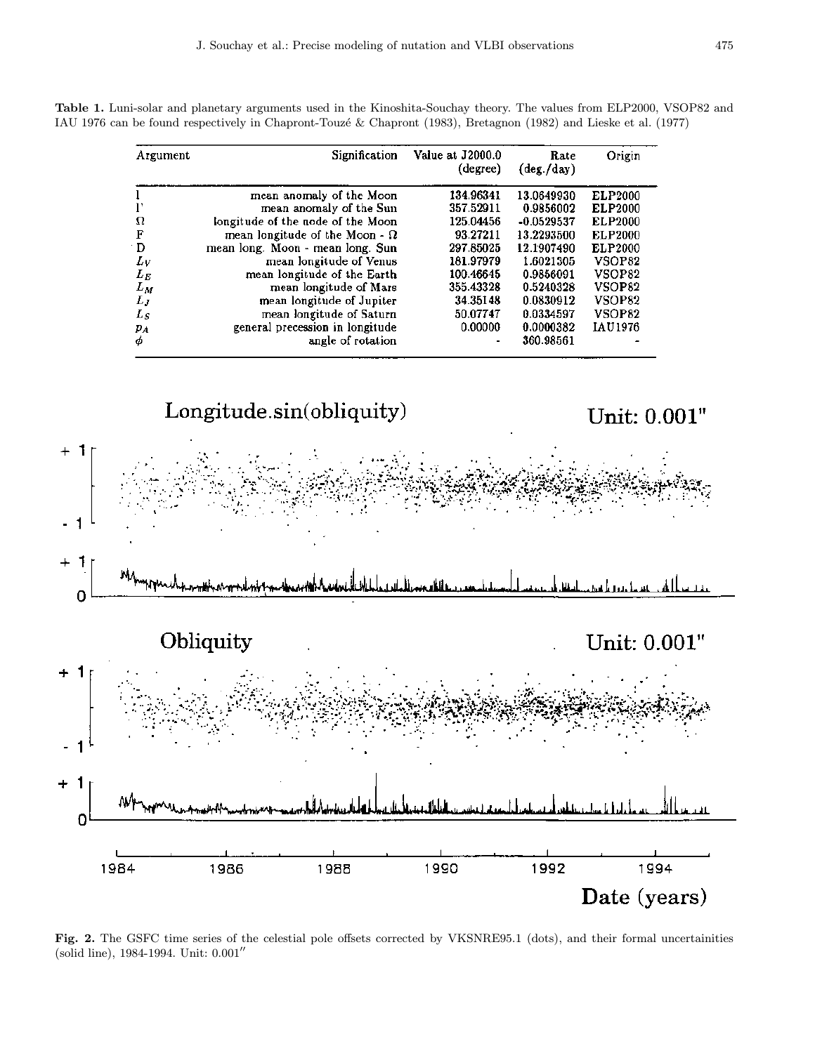| Argument | Signification                         | Value at J2000.0<br>(degree) | Rate<br>$(\text{deg.}/\text{day})$ | Origin         |
|----------|---------------------------------------|------------------------------|------------------------------------|----------------|
|          | mean anomaly of the Moon              | 134.96341                    | 13.0649930                         | <b>ELP2000</b> |
|          | mean anomaly of the Sun               | 357.52911                    | 0.9856002                          | <b>ELP2000</b> |
| Ω        | longitude of the node of the Moon     | 125.04456                    | $-0.0529537$                       | <b>ELP2000</b> |
| F        | mean longitude of the Moon - $\Omega$ | 93.27211                     | 13.2293500                         | <b>ELP2000</b> |
| D        | mean long. Moon - mean long. Sun      | 297.85025                    | 12.1907490                         | ELP2000        |
| Lν       | mean longitude of Venus               | 181.97979                    | 1.6021305                          | VSOP82         |
| $L_{E}$  | mean longitude of the Earth           | 100.46645                    | 0.9856091                          | VSOP82         |
| $L_M$    | mean longitude of Mars                | 355.43328                    | 0.5240328                          | VSOP82         |
| $L_J$    | mean longitude of Jupiter             | 34.35148                     | 0.0830912                          | VSOP82         |
| $L_S$    | mean longitude of Saturn              | 50.07747                     | 0.0334597                          | VSOP82         |
| PА       | general precession in longitude       | 0.00000                      | 0.0000382                          | IAU1976        |
| φ        | angle of rotation                     |                              | 360.98561                          |                |

Table 1. Luni-solar and planetary arguments used in the Kinoshita-Souchay theory. The values from ELP2000, VSOP82 and IAU 1976 can be found respectively in Chapront-Touz´e & Chapront (1983), Bretagnon (1982) and Lieske et al. (1977)



Fig. 2. The GSFC time series of the celestial pole offsets corrected by VKSNRE95.1 (dots), and their formal uncertainities (solid line), 1984-1994. Unit:  $0.001''$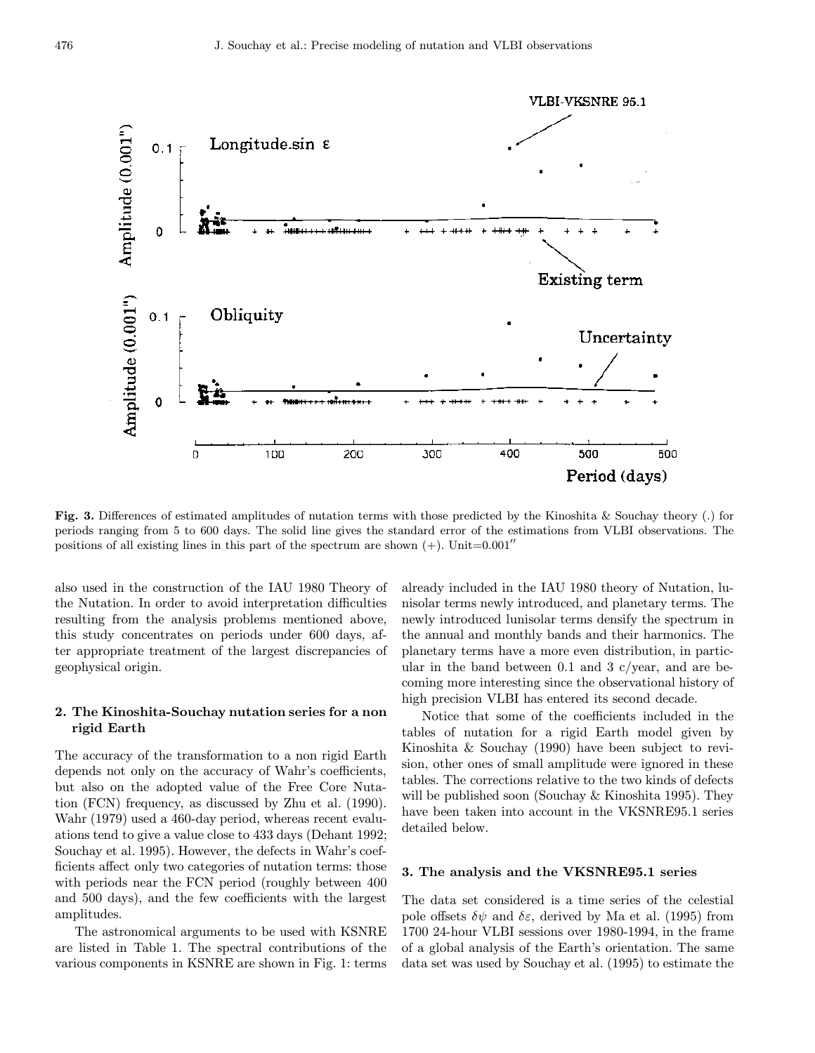

Fig. 3. Differences of estimated amplitudes of nutation terms with those predicted by the Kinoshita & Souchay theory (.) for periods ranging from 5 to 600 days. The solid line gives the standard error of the estimations from VLBI observations. The positions of all existing lines in this part of the spectrum are shown  $(+)$ . Unit=0.001''

also used in the construction of the IAU 1980 Theory of the Nutation. In order to avoid interpretation difficulties resulting from the analysis problems mentioned above, this study concentrates on periods under 600 days, after appropriate treatment of the largest discrepancies of geophysical origin.

### 2. The Kinoshita-Souchay nutation series for a non rigid Earth

The accuracy of the transformation to a non rigid Earth depends not only on the accuracy of Wahr's coefficients, but also on the adopted value of the Free Core Nutation (FCN) frequency, as discussed by Zhu et al. (1990). Wahr (1979) used a 460-day period, whereas recent evaluations tend to give a value close to 433 days (Dehant 1992; Souchay et al. 1995). However, the defects in Wahr's coefficients affect only two categories of nutation terms: those with periods near the FCN period (roughly between  $400$ ) and 500 days), and the few coefficients with the largest amplitudes.

The astronomical arguments to be used with KSNRE are listed in Table 1. The spectral contributions of the various components in KSNRE are shown in Fig. 1: terms already included in the IAU 1980 theory of Nutation, lunisolar terms newly introduced, and planetary terms. The newly introduced lunisolar terms densify the spectrum in the annual and monthly bands and their harmonics. The planetary terms have a more even distribution, in particular in the band between 0.1 and 3  $c/year$ , and are becoming more interesting since the observational history of high precision VLBI has entered its second decade.

Notice that some of the coefficients included in the tables of nutation for a rigid Earth model given by Kinoshita & Souchay (1990) have been subject to revision, other ones of small amplitude were ignored in these tables. The corrections relative to the two kinds of defects will be published soon (Souchay & Kinoshita 1995). They have been taken into account in the VKSNRE95.1 series detailed below.

#### 3. The analysis and the VKSNRE95.1 series

The data set considered is a time series of the celestial pole offsets  $\delta\psi$  and  $\delta\varepsilon$ , derived by Ma et al. (1995) from 1700 24-hour VLBI sessions over 1980-1994, in the frame of a global analysis of the Earth's orientation. The same data set was used by Souchay et al. (1995) to estimate the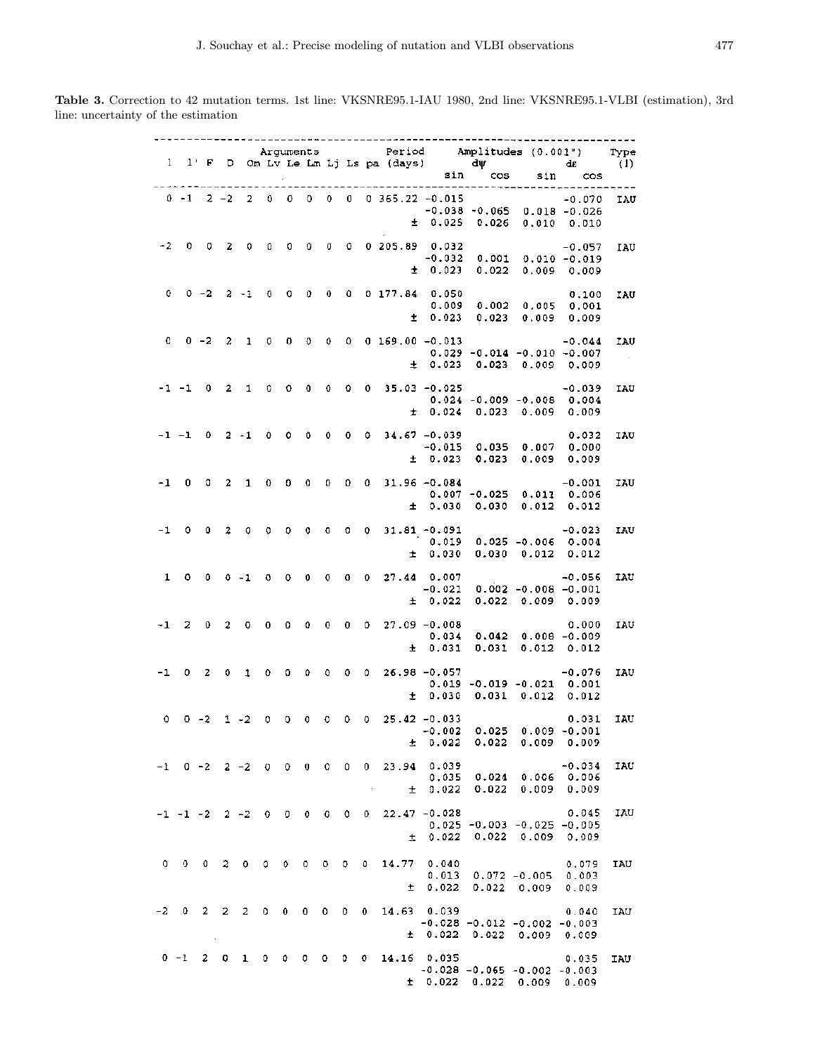Table 3. Correction to 42 mutation terms. 1st line: VKSNRE95.1-IAU 1980, 2nd line: VKSNRE95.1-VLBI (estimation), 3rd line: uncertainty of the estimation

|              |         |                   |                         |          |                                 |             |       |                |                |                                                                       |                   |       |                                                      | Arguments Period Amplitudes (0.001") Type<br>1 1 F D Om Lv Le Lm Lj Ls pa (days) dw de (1)<br>sin cos sin cos |                |
|--------------|---------|-------------------|-------------------------|----------|---------------------------------|-------------|-------|----------------|----------------|-----------------------------------------------------------------------|-------------------|-------|------------------------------------------------------|---------------------------------------------------------------------------------------------------------------|----------------|
|              |         |                   |                         |          |                                 |             |       |                |                |                                                                       |                   |       |                                                      |                                                                                                               |                |
|              |         |                   |                         |          |                                 |             |       |                |                | $0 -1$ 2 -2 2 0 0 0 0 0 0 365.22 -0.015                               |                   |       |                                                      | $-0.070$ IAU                                                                                                  |                |
|              |         |                   |                         |          |                                 |             |       |                |                |                                                                       |                   |       | $-0.038 - 0.065$ 0.018 $-0.026$                      |                                                                                                               |                |
|              |         |                   |                         |          |                                 |             |       |                |                |                                                                       |                   |       | $\pm$ 0.025 0.026 0.010 0.010                        |                                                                                                               |                |
| $-2$         |         |                   |                         |          |                                 |             |       |                |                | 0 0 2 0 0 0 0 0 0 0 205.89 0.032                                      |                   |       |                                                      | $-0.057$                                                                                                      | IAU            |
|              |         |                   |                         |          |                                 |             |       |                |                |                                                                       |                   |       | $0.032$ -0.057<br>-0.032 0.001 0.010 -0.019          |                                                                                                               |                |
|              |         |                   |                         |          |                                 |             |       |                |                |                                                                       |                   |       | $\pm$ 0.023 0.022 0.009 0.009                        |                                                                                                               |                |
|              |         |                   |                         |          |                                 |             |       |                |                |                                                                       |                   |       |                                                      |                                                                                                               |                |
|              |         |                   |                         |          |                                 |             |       |                |                | $0$ 0 -2 2 -1 0 0 0 0 0 0 177,84 0.050                                |                   |       |                                                      | 0.100                                                                                                         | IAU            |
|              |         |                   |                         |          |                                 |             |       |                |                |                                                                       | $\pm$ 0.023       |       | 0.023 0.009 0.009                                    |                                                                                                               |                |
|              |         |                   |                         |          |                                 |             |       |                |                |                                                                       |                   |       |                                                      |                                                                                                               |                |
|              |         |                   |                         |          |                                 |             |       |                |                | $0 \t 0 \t -2 \t 2 \t 1 \t 0 \t 0 \t 0 \t 0 \t 0 \t 169.00 \t -0.013$ |                   |       |                                                      | $-0.044$                                                                                                      | IAU            |
|              |         |                   |                         |          |                                 |             |       |                |                |                                                                       | ± 0.023           |       | $0.029 - 0.014 - 0.010 - 0.007$<br>0.023 0.009 0.009 |                                                                                                               | $\sim 10^{-1}$ |
|              |         |                   |                         |          |                                 |             |       |                |                |                                                                       |                   |       |                                                      |                                                                                                               |                |
|              |         |                   |                         |          |                                 |             |       |                |                | $-1$ $-1$ 0 2 1 0 0 0 0 0 0 35.03 $-0.025$                            |                   |       |                                                      | $-0.039$                                                                                                      | IAU            |
|              |         |                   |                         |          |                                 |             |       |                |                |                                                                       |                   |       | $0.024 - 0.009 - 0.008 0.004$                        |                                                                                                               |                |
|              |         |                   |                         |          |                                 |             |       |                |                |                                                                       | ± 0.024           |       | 0.023 0.009 0.009                                    |                                                                                                               |                |
|              |         |                   |                         |          |                                 |             |       |                |                | $-1$ $-1$ 0 2 $-1$ 0 0 0 0 0 0 34.67 $-0.039$                         |                   |       |                                                      | 0.032                                                                                                         | IAU            |
|              |         |                   |                         |          |                                 |             |       |                |                |                                                                       | $-0.015$          |       | 0.035 0.007 0.000                                    |                                                                                                               |                |
|              |         |                   |                         |          |                                 |             |       |                |                |                                                                       | ± 0.023           |       | 0.023 0.009 0.009                                    |                                                                                                               |                |
|              |         |                   |                         |          |                                 |             |       |                |                |                                                                       |                   |       |                                                      |                                                                                                               |                |
|              |         |                   |                         |          |                                 |             |       |                |                | $-1$ 0 0 2 1 0 0 0 0 0 0 31.96 $-0.084$                               |                   |       | $0.007 - 0.025$ $0.011$ $0.006$                      | $-0.001$                                                                                                      | IAU            |
|              |         |                   |                         |          |                                 |             |       |                |                |                                                                       | ± 0.030           |       | 0.030 0.012                                          | 0.012                                                                                                         |                |
|              |         |                   |                         |          |                                 |             |       |                |                |                                                                       |                   |       |                                                      |                                                                                                               |                |
|              |         |                   |                         |          |                                 |             |       |                |                | $-1$ 0 0 2 0 0 0 0 0 0 0 31.81 $-0.091$                               |                   |       |                                                      | $-0.023$                                                                                                      | IAU            |
|              |         |                   |                         |          |                                 |             |       |                |                |                                                                       | 0.019             |       | $0.025 - 0.006$ $0.004$                              |                                                                                                               |                |
|              |         |                   |                         |          |                                 |             |       |                |                |                                                                       | $\pm$ 0.030       |       | $0.030$ $0.012$ $0.012$                              |                                                                                                               |                |
| $\mathbf{1}$ |         |                   |                         |          |                                 |             |       |                |                | $0$ 0 0 -1 0 0 0 0 0 0 27.44 0.007                                    |                   |       |                                                      | $-0.056$                                                                                                      | IAU            |
|              |         |                   |                         |          |                                 |             |       |                |                |                                                                       | $-0.021$          |       | $0.002 - 0.008 - 0.001$                              |                                                                                                               |                |
|              |         |                   |                         |          |                                 |             |       |                |                |                                                                       | ± 0.022           |       | $0.022$ 0.009 0.009                                  |                                                                                                               |                |
|              |         |                   |                         |          |                                 |             |       |                |                | $-1$ 2 0 2 0 0 0 0 0 0 0 27.09 $-0.008$                               |                   |       |                                                      | 0.000                                                                                                         | IAU            |
|              |         |                   |                         |          |                                 |             |       |                |                |                                                                       | 0.034             |       | $0.042$ $0.008$ $-0.009$                             |                                                                                                               |                |
|              |         |                   |                         |          |                                 |             |       |                |                |                                                                       | ± 0.031           |       | $0.031$ $0.012$ $0.012$                              |                                                                                                               |                |
|              |         |                   |                         |          |                                 |             |       |                |                |                                                                       |                   |       |                                                      |                                                                                                               |                |
|              |         |                   |                         |          |                                 |             |       |                |                | $-1$ 0 2 0 1 0 0 0 0 0 0 26.98 -0.057                                 |                   |       | $0.019 - 0.019 - 0.021$ 0.001                        | $-0.076$                                                                                                      | IAU            |
|              |         |                   |                         |          |                                 |             |       |                |                |                                                                       | ± 0.030           |       | $0.031$ $0.012$                                      | 0.012                                                                                                         |                |
|              |         |                   |                         |          |                                 |             |       |                |                |                                                                       |                   |       |                                                      |                                                                                                               |                |
| $\mathbf{0}$ |         |                   |                         |          |                                 |             |       |                |                | $0 - 2$ 1 - 2 0 0 0 0 0 0 25.42 - 0.033                               |                   |       |                                                      | 0.031                                                                                                         | IAU            |
|              |         |                   |                         |          |                                 |             |       |                |                |                                                                       | 0.022             | 0.022 | 0.009                                                | $-0.002$ 0.025 0.009 $-0.001$<br>0.009                                                                        |                |
|              |         |                   |                         |          |                                 |             |       |                |                | ±.                                                                    |                   |       |                                                      |                                                                                                               |                |
|              |         |                   | $-1$ 0 $-2$ 2 $-2$ 0 0  |          |                                 | $0 \quad 0$ |       | $\overline{0}$ |                | $0$ 23.94                                                             | 0.039             |       |                                                      | $-0.034$                                                                                                      | IAU            |
|              |         |                   |                         |          |                                 |             |       |                |                |                                                                       | 0.035             | 0.024 | 0.006 0.006                                          |                                                                                                               |                |
|              |         |                   |                         |          |                                 |             |       |                |                | 士                                                                     | 0.022             | 0.022 | 0.009                                                | 0.009                                                                                                         |                |
|              |         |                   | $-1$ $-1$ $-2$ $2$ $-2$ | $\theta$ |                                 |             |       |                | $\mathbf{0}$   |                                                                       | $22.47 - 0.028$   |       |                                                      | 0.045                                                                                                         | IAU            |
|              |         |                   |                         |          |                                 |             |       |                |                |                                                                       |                   |       | $0.025 - 0.003 - 0.025 - 0.005$                      |                                                                                                               |                |
|              |         |                   |                         |          |                                 |             |       |                |                | 土                                                                     | 0.022             | 0.022 | 0.009                                                | 0.009                                                                                                         |                |
|              |         |                   |                         |          |                                 |             |       |                |                |                                                                       |                   |       |                                                      |                                                                                                               |                |
| 0            |         | $0\quad 0\quad 2$ | $0 \quad 0$             |          | $\bullet$                       | 0           | $0$ 0 |                | $\overline{0}$ | 14.77                                                                 | 0.040             |       |                                                      | 0.079                                                                                                         | IAU            |
|              |         |                   |                         |          |                                 |             |       |                |                | 土                                                                     | 0.013<br>0.022    | 0.022 | $0.072 - 0.005$<br>0.009                             | 0.003<br>0.009                                                                                                |                |
|              |         |                   |                         |          |                                 |             |       |                |                |                                                                       |                   |       |                                                      |                                                                                                               |                |
| $-2$         | 0.      | $2\quad 2$        | $\mathbf{2}$            | $\circ$  | $\mathbf{0}$                    | $\bullet$   | 0     | $\mathbf{0}$   | 0              | 14.63 0.039                                                           |                   |       |                                                      | 0.040                                                                                                         | IAU            |
|              |         |                   |                         |          |                                 |             |       |                |                | ±.                                                                    | 0.022             |       | $-0.028 -0.012 -0.002 -0.003$                        |                                                                                                               |                |
|              |         |                   |                         |          |                                 |             |       |                |                |                                                                       |                   |       | $0.022$ 0.009                                        | 0.009                                                                                                         |                |
|              | $0 - 1$ | $2 \quad 0$       | $\mathbf{1}$            | 0        | $0\quad 0\quad 0\quad 0\quad 0$ |             |       |                |                | 14.16 0.035                                                           |                   |       |                                                      | 0.035                                                                                                         | IAU            |
|              |         |                   |                         |          |                                 |             |       |                |                |                                                                       |                   |       | $-0.028 - 0.065 - 0.002 - 0.003$                     |                                                                                                               |                |
|              |         |                   |                         |          |                                 |             |       |                |                |                                                                       | $\pm$ 0.022 0.022 |       | 0.009                                                | 0.009                                                                                                         |                |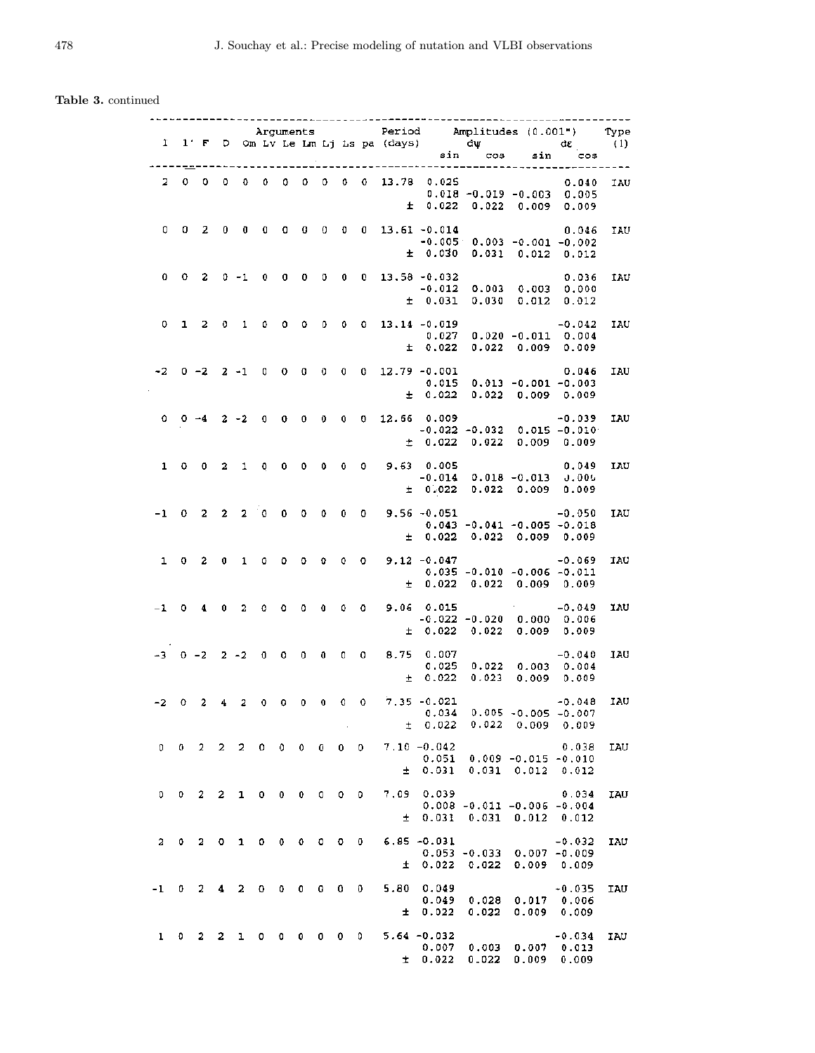## Table 3. continued

|              |              |                |              |                          |              |                   |              |                |                   |             |       |                                             |                          | Arguments Period Amplitudes (0.001") Type<br>1 1' F D Om Lv Le Lm Lj Ls pa (days) dw dz (1)<br>sin cos sin cos |                   |            |
|--------------|--------------|----------------|--------------|--------------------------|--------------|-------------------|--------------|----------------|-------------------|-------------|-------|---------------------------------------------|--------------------------|----------------------------------------------------------------------------------------------------------------|-------------------|------------|
|              |              |                |              |                          |              |                   |              |                |                   |             |       |                                             |                          |                                                                                                                |                   |            |
|              |              |                |              |                          |              |                   |              |                |                   |             |       |                                             |                          |                                                                                                                |                   |            |
| 2            | $\mathbf{0}$ | 0              | 0            | 0                        | 0            | 0                 | 0            |                |                   |             |       | $0 \t 0 \t 0 \t 13.78 \t 0.025$             |                          | $0.018 - 0.019 - 0.003 0.005$                                                                                  | 0.040             | IAU        |
|              |              |                |              |                          |              |                   |              |                |                   |             | $\pm$ |                                             |                          | $0.022$ $0.022$ $0.009$ $0.009$                                                                                |                   |            |
| 0            | $\mathbf{0}$ |                |              |                          |              | $\sigma$          |              |                |                   |             |       | $0 \t 0 \t 0 \t 13.61 -0.014$               |                          |                                                                                                                |                   |            |
|              |              | -2             |              | $0\quad 0$               | $\mathbf{0}$ |                   |              |                |                   |             |       |                                             |                          | $-0.005 - 0.003 - 0.001 - 0.002$                                                                               | 0.046             | IAU        |
|              |              |                |              |                          |              |                   |              |                |                   |             |       |                                             |                          | $±$ 0.030 0.031 0.012 0.012                                                                                    |                   |            |
| 0            |              |                |              | $0 \t2 \t0 \t-1 \t0 \t0$ |              |                   |              |                |                   |             |       | $0 \t 0 \t 0 \t 13.58 - 0.032$              |                          |                                                                                                                | 0.036             | IAU        |
|              |              |                |              |                          |              |                   |              |                |                   |             |       |                                             |                          | 0.036<br>0.012 0.003 0.003 0.000 0.000                                                                         |                   |            |
|              |              |                |              |                          |              |                   |              |                |                   |             |       | ± 0.031                                     | 0.030 0.012              |                                                                                                                | 0.012             |            |
| 0            |              |                |              | 1 2 0 1                  | $\mathbf{0}$ | $\mathbf{0}$      |              |                |                   |             |       | $0 \t 0 \t 0 \t 13.14 \t -0.019$            |                          |                                                                                                                | $-0.042$          | IAU        |
|              |              |                |              |                          |              |                   |              |                |                   |             |       | ± 0.022                                     |                          | $0.027$ 0.020 -0.011 0.004<br>$0.022$ $0.009$ 0.009                                                            |                   |            |
|              |              |                |              |                          |              |                   |              |                |                   |             |       |                                             |                          |                                                                                                                |                   |            |
| -2           |              |                |              |                          |              |                   |              |                |                   |             |       | $0 - 2$ 2 -1 0 0 0 0 0 0 12.79 -0.001       |                          |                                                                                                                | 0.046             | IAU        |
|              |              |                |              |                          |              |                   |              |                |                   |             |       | 0.015<br>± 0.022                            |                          | $0.013 - 0.001 - 0.003$<br>$0.022$ 0.009 0.009                                                                 |                   |            |
|              |              |                |              |                          |              |                   |              |                |                   |             |       |                                             |                          |                                                                                                                |                   |            |
|              |              |                |              |                          |              |                   |              |                |                   |             |       | $0$ 0 -4 2 -2 0 0 0 0 0 0 12.66 0.009       |                          | $0.009$ $-0.039$ $-0.015$ $-0.010$                                                                             |                   | IAU        |
|              |              |                |              |                          |              |                   |              |                |                   |             |       | ± 0.022                                     |                          | 0.022 0.009 0.009                                                                                              |                   |            |
| $\mathbf{1}$ |              |                |              |                          |              |                   |              |                |                   |             |       | 0 0 2 1 0 0 0 0 0 0 9,63 0.005              |                          |                                                                                                                | 0.049             | IAU        |
|              |              |                |              |                          |              |                   |              |                |                   |             |       |                                             |                          | $-0.014$ 0.018 $-0.013$ 0.000                                                                                  |                   |            |
|              |              |                |              |                          |              |                   |              |                |                   |             |       |                                             |                          | $\pm$ 0.022 0.022 0.009 0.009                                                                                  |                   |            |
| $-1$         |              |                |              |                          |              |                   |              |                |                   |             |       | $0$ 2 2 2 0 0 0 0 0 0 9.56 -0.051           |                          |                                                                                                                | $-0.050$          | IAU        |
|              |              |                |              |                          |              |                   |              |                |                   |             |       | ± 0.022                                     |                          | $0.043 - 0.041 - 0.005 - 0.018$<br>0.022 0.009 0.009                                                           |                   |            |
|              |              |                |              |                          |              |                   |              |                |                   |             |       |                                             |                          |                                                                                                                |                   |            |
| $\mathbf{1}$ |              | $0\quad 2$     | $\mathbf 0$  | $\mathbf{1}$             |              |                   |              |                |                   |             |       | $0$ 0 0 0 0 0 9.12 -0.047                   |                          |                                                                                                                | $-0.069$          | IAU        |
|              |              |                |              |                          |              |                   |              |                |                   |             |       | ± 0.022                                     |                          | $0.035 - 0.010 - 0.006 - 0.011$<br>0.022 0.009 0.009                                                           |                   |            |
|              |              |                |              |                          |              |                   |              |                |                   |             |       |                                             |                          | $\mathcal{O}(10^{10} \, \mathrm{Mpc})$ .                                                                       |                   |            |
|              |              | $-1$ 0 4 0 2   |              |                          | $\bullet$    | - 0               |              |                |                   |             |       | $0$ 0 0 0 9.06 0.015                        |                          | $-0.022$ $-0.020$ $0.000$ $0.006$                                                                              | $-0.049$          | <b>IAU</b> |
|              |              |                |              |                          |              |                   |              |                |                   |             |       | ± 0.022                                     |                          | $0.022$ $0.009$ $0.009$                                                                                        |                   |            |
|              |              |                |              |                          |              |                   |              |                |                   |             |       | $-3$ 0 $-2$ 2 $-2$ 0 0 0 0 0 0 0 8.75 0.007 |                          |                                                                                                                | $-0.040$          | IAU        |
|              |              |                |              |                          |              |                   |              |                |                   |             |       | 0.025                                       |                          | $0.022$ $0.003$ $0.004$                                                                                        |                   |            |
|              |              |                |              |                          |              |                   |              |                |                   |             |       | ± 0.022                                     |                          | $0.023$ 0.009 0.009                                                                                            |                   |            |
| -2           |              | $0\quad 2$     |              | $4\quad 2$               |              |                   |              |                |                   |             |       | $0$ 0 0 0 0 0 7.35 -0.021                   |                          | $-0.048$                                                                                                       |                   | IAU        |
|              |              |                |              |                          |              |                   |              |                |                   |             | ŧ.    | 0.022                                       | 0.022                    | $0.034$ $0.005$ -0.005 -0.007<br>0.009                                                                         | 0.009             |            |
|              |              |                |              |                          |              |                   |              |                |                   |             |       |                                             |                          |                                                                                                                |                   |            |
| 0            |              |                |              | $0 \t2 \t2 \t2$          | $\mathbf{0}$ | 0                 | 0.           | $\bf{0}$       | $\mathbf{0}$      | 0           |       | $7.10 - 0.042$<br>0.051                     |                          | $0.009 - 0.015 - 0.010$                                                                                        | 0.038             | IAU        |
|              |              |                |              |                          |              |                   |              |                |                   |             | ±     | 0.031                                       | 0.031                    | 0.012                                                                                                          | 0.012             |            |
| 0            | 0            | $\overline{2}$ | $\mathbf{2}$ | $\mathbf{1}$             | 0            | $\bf{0}$          | 0            | 0              | 0                 | $\mathbf 0$ | 7.09  | 0.039                                       |                          |                                                                                                                | 0.034             | IAU        |
|              |              |                |              |                          |              |                   |              |                |                   |             |       |                                             |                          | $0.008 - 0.011 - 0.006 - 0.004$                                                                                |                   |            |
|              |              |                |              |                          |              |                   |              |                |                   |             | 士     | 0.031                                       | 0.031                    | 0.012                                                                                                          | 0.012             |            |
| 2            | ٥            | 2              | $\circ$      | $\mathbf{1}$             | 0            | $\mathbf{0}$      | $\mathbf{o}$ | $^{\circ}$     | $\mathbf{0}$      | 0           |       | $6.85 - 0.031$                              |                          |                                                                                                                | $-0.032$          | IAU        |
|              |              |                |              |                          |              |                   |              |                |                   |             | Ŧ     | 0.022                                       | $0.053 - 0.033$<br>0.022 | $0.007 - 0.009$<br>0.009                                                                                       | 0.009             |            |
|              |              |                |              |                          |              |                   |              |                |                   |             |       |                                             |                          |                                                                                                                |                   |            |
| -1           | 0            | 2              | 4            | - 2                      | 0            | 0                 | 0            | 0              | 0<br>$\mathbf{0}$ |             | 5.80  | 0.049<br>0.049                              | 0.028                    | 0.017                                                                                                          | $+0.035$<br>0.006 | IAU        |
|              |              |                |              |                          |              |                   |              |                |                   |             | 士     | 0.022                                       | 0.022                    | 0.009                                                                                                          | 0.009             |            |
| ı            | 0            | $\mathbf{2}$   | 2            | 1.                       |              | $0\quad 0\quad 0$ |              | $\overline{0}$ | $0\quad 0$        |             |       | 5.64 -0.032                                 |                          |                                                                                                                |                   |            |
|              |              |                |              |                          |              |                   |              |                |                   |             |       | 0.007                                       | 0.003                    | 0.007                                                                                                          | $-0.034$<br>0.013 | IAU        |
|              |              |                |              |                          |              |                   |              |                |                   |             | 士     | 0.022                                       | 0.022                    | 0.009                                                                                                          | 0.009             |            |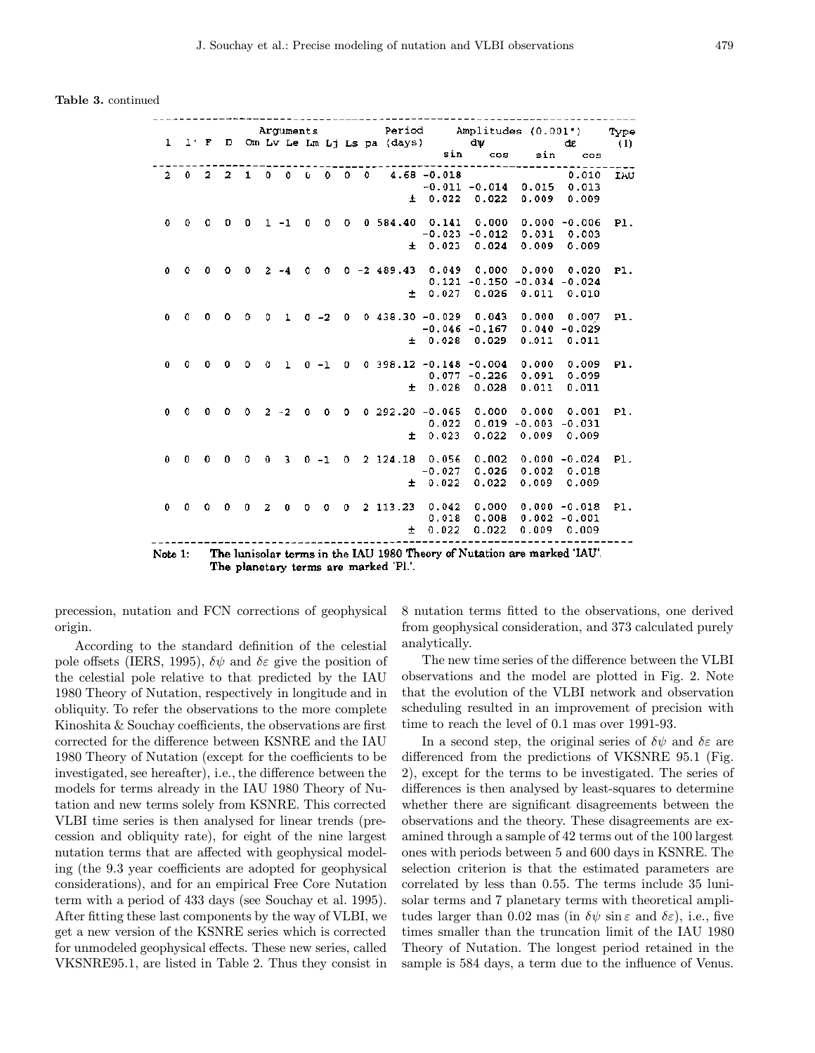Table 3. continued

|                |                             |                   |         |              |                |              |         |          |             |            |                             |                     | Arguments Period Amplitudes (0.001")        |                     |                 | Type |
|----------------|-----------------------------|-------------------|---------|--------------|----------------|--------------|---------|----------|-------------|------------|-----------------------------|---------------------|---------------------------------------------|---------------------|-----------------|------|
|                | $1 \quad 1 \cdot F \quad D$ |                   |         |              |                |              |         |          |             |            | Om Lv Le Lm Lj Ls pa (days) |                     | dw                                          |                     | dε              | (1)  |
|                |                             |                   |         |              |                |              |         |          |             |            |                             | sin                 | COS                                         | sin<br>------------ | $\cos$          |      |
| $\overline{2}$ |                             | $0\quad 2\quad 2$ |         | $\mathbf{1}$ | 0              | 0            | Ù.      | 0        | $\Omega$    | $^{\circ}$ |                             | $4.68 - 0.018$      |                                             |                     | 0.010           | IAU  |
|                |                             |                   |         |              |                |              |         |          |             |            |                             |                     | $-0.011 - 0.014$ 0.015 0.013                |                     |                 |      |
|                |                             |                   |         |              |                |              |         |          |             |            | $\pm$                       | 0.022               | 0.022                                       | 0.009               | 0.009           |      |
|                |                             |                   |         |              |                |              |         |          |             |            |                             |                     |                                             |                     |                 |      |
| $\circ$        | 0.                          | $\Omega$          | o       | 0            | $1 - 1$        |              | 0       | 0        | 0.          |            |                             |                     | $0.584.40$ $0.141$ $0.000$ $0.000$ $-0.006$ |                     |                 | P1.  |
|                |                             |                   |         |              |                |              |         |          |             |            |                             |                     | $-0.023 - 0.012$                            | 0.031 0.003         |                 |      |
|                |                             |                   |         |              |                |              |         |          |             |            | $\pm$                       | 0.023               | 0.024                                       | 0.009               | 0.009           |      |
|                |                             |                   |         |              |                |              |         |          |             |            |                             |                     |                                             |                     |                 |      |
| 0              | ٥                           | $^{\circ}$        | $\circ$ | 0            |                |              | Ω       | $\Omega$ |             |            |                             | $0 - 2489.43 0.049$ |                                             | 0.000 0.000 0.020   |                 | P1.  |
|                |                             |                   |         |              |                |              |         |          |             |            |                             | 0.121               |                                             | $-0.150 - 0.034$    | $-0.024$        |      |
|                |                             |                   |         |              |                |              |         |          |             |            | $+$                         | 0.027               | 0.026                                       | 0.011               | 0.010           |      |
|                |                             |                   |         |              |                |              |         |          |             |            |                             |                     |                                             |                     |                 |      |
| $\bf{0}$       | 0                           | 0.                | 0       | 0            | ٥              | $\mathbf{1}$ | $0 -2$  |          | 0           |            |                             |                     | $0.438.30 - 0.029 0.043$                    | 0.000               | 0.007           | P1.  |
|                |                             |                   |         |              |                |              |         |          |             |            |                             |                     | $-0.046 - 0.167$                            | 0.040               | $-0.029$        |      |
|                |                             |                   |         |              |                |              |         |          |             |            |                             | ± 0.028             | 0.029                                       | 0.011               | 0.011           |      |
| 0              | 0                           | 0                 | 0       | ٥            | ٥              |              | $0 - 1$ |          | 0           |            |                             |                     | $0.398.12 - 0.148 - 0.004$                  | 0.000               | 0.009           | PI.  |
|                |                             |                   |         |              |                | ı            |         |          |             |            |                             |                     | $0.077 - 0.226$                             | 0.091               | 0.099           |      |
|                |                             |                   |         |              |                |              |         |          |             |            |                             | ± 0.028             | 0.028                                       | 0.011               | 0.011           |      |
|                |                             |                   |         |              |                |              |         |          |             |            |                             |                     |                                             |                     |                 |      |
| 0              | $\mathbf 0$                 | 0.                | $\circ$ | 0            | $2 - 2$        |              | 0       | 0        | Đ.          |            | $0, 292.20, -0.065$         |                     | 0.000                                       | 0.000               | 0.001           | P1.  |
|                |                             |                   |         |              |                |              |         |          |             |            |                             | 0.022               |                                             | $0.019 - 0.003$     | $-0.031$        |      |
|                |                             |                   |         |              |                |              |         |          |             |            |                             | $\pm 0.023$         | 0.022                                       | 0.009               | 0.009           |      |
|                |                             |                   |         |              |                |              |         |          |             |            |                             |                     |                                             |                     |                 |      |
| $\bf{0}$       | $\mathbf{0}$                | 0.                | 0       | $\Omega$     | 0              | 3            | $0 - 1$ |          | $\mathbf 0$ |            | 2, 124.18, 0.056            |                     | 0.002                                       |                     | $0.000 - 0.024$ | P1.  |
|                |                             |                   |         |              |                |              |         |          |             |            |                             | $-0.027$            | 0.026                                       | 0.002               | 0.018           |      |
|                |                             |                   |         |              |                |              |         |          |             |            |                             | ± 0.022             | 0.022                                       | 0.009               | 0.009           |      |
|                |                             |                   |         |              |                |              |         |          |             |            |                             |                     |                                             |                     |                 |      |
| 0              | 0                           | 0                 | 0       | 0            | $\overline{a}$ | 0            | o       | 0        | 0           |            | $2$ 113.23                  | 0.042               | 0.000                                       |                     | $0.000 - 0.018$ | P1.  |
|                |                             |                   |         |              |                |              |         |          |             |            |                             | 0.018               | 0.008                                       |                     | $0.002 - 0.001$ |      |
|                |                             |                   |         |              |                |              |         |          |             |            | ±.                          | 0.022               | 0.022                                       |                     | $0.009$ $0.009$ |      |
|                |                             |                   |         | .            |                |              |         |          |             |            |                             |                     | <b>CONTRACTOR</b>                           | オー・ファイル きょうしゅうせい    |                 |      |

The lunisolar terms in the IAU 1980 Theory of Nutation are marked 'IAU'. Note 1: The planetary terms are marked 'Pl.'.

precession, nutation and FCN corrections of geophysical origin.

According to the standard definition of the celestial pole offsets (IERS, 1995),  $\delta \psi$  and  $\delta \varepsilon$  give the position of the celestial pole relative to that predicted by the IAU 1980 Theory of Nutation, respectively in longitude and in obliquity. To refer the observations to the more complete Kinoshita & Souchay coefficients, the observations are first corrected for the difference between KSNRE and the IAU 1980 Theory of Nutation (except for the coefficients to be investigated, see hereafter), i.e., the difference between the models for terms already in the IAU 1980 Theory of Nutation and new terms solely from KSNRE. This corrected VLBI time series is then analysed for linear trends (precession and obliquity rate), for eight of the nine largest nutation terms that are affected with geophysical modeling (the 9.3 year coefficients are adopted for geophysical considerations), and for an empirical Free Core Nutation term with a period of 433 days (see Souchay et al. 1995). After fitting these last components by the way of VLBI, we get a new version of the KSNRE series which is corrected for unmodeled geophysical effects. These new series, called VKSNRE95.1, are listed in Table 2. Thus they consist in 8 nutation terms fitted to the observations, one derived from geophysical consideration, and 373 calculated purely analytically.

The new time series of the difference between the VLBI observations and the model are plotted in Fig. 2. Note that the evolution of the VLBI network and observation scheduling resulted in an improvement of precision with time to reach the level of 0.1 mas over 1991-93.

In a second step, the original series of  $\delta\psi$  and  $\delta\varepsilon$  are differenced from the predictions of VKSNRE 95.1 (Fig. 2), except for the terms to be investigated. The series of differences is then analysed by least-squares to determine whether there are significant disagreements between the observations and the theory. These disagreements are examined through a sample of 42 terms out of the 100 largest ones with periods between 5 and 600 days in KSNRE. The selection criterion is that the estimated parameters are correlated by less than 0.55. The terms include 35 lunisolar terms and 7 planetary terms with theoretical amplitudes larger than 0.02 mas (in  $\delta\psi$  sin  $\varepsilon$  and  $\delta\varepsilon$ ), i.e., five times smaller than the truncation limit of the IAU 1980 Theory of Nutation. The longest period retained in the sample is 584 days, a term due to the influence of Venus.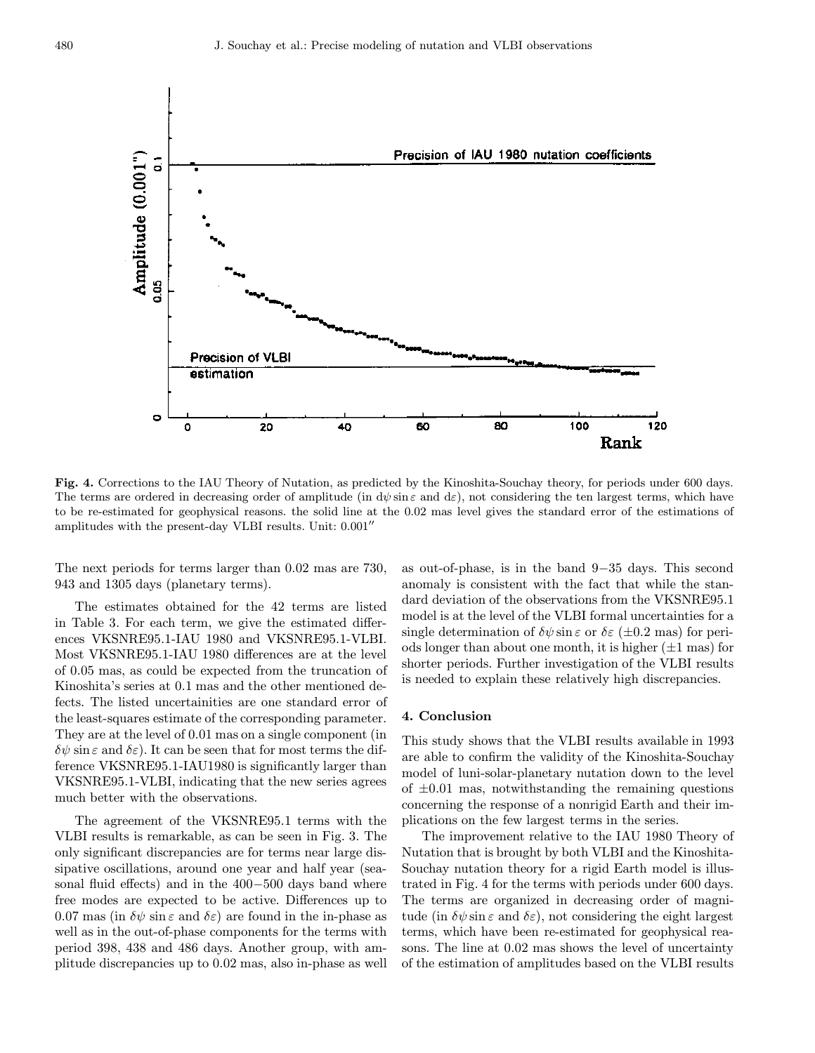

Fig. 4. Corrections to the IAU Theory of Nutation, as predicted by the Kinoshita-Souchay theory, for periods under 600 days. The terms are ordered in decreasing order of amplitude (in  $d\psi \sin \epsilon$  and  $d\epsilon$ ), not considering the ten largest terms, which have to be re-estimated for geophysical reasons. the solid line at the 0.02 mas level gives the standard error of the estimations of amplitudes with the present-day VLBI results. Unit:  $0.001''$ 

The next periods for terms larger than 0.02 mas are 730, 943 and 1305 days (planetary terms).

The estimates obtained for the 42 terms are listed in Table 3. For each term, we give the estimated differences VKSNRE95.1-IAU 1980 and VKSNRE95.1-VLBI. Most VKSNRE95.1-IAU 1980 differences are at the level of 0.05 mas, as could be expected from the truncation of Kinoshita's series at 0.1 mas and the other mentioned defects. The listed uncertainities are one standard error of the least-squares estimate of the corresponding parameter. They are at the level of 0.01 mas on a single component (in  $\delta\psi$  sin  $\varepsilon$  and  $\delta\varepsilon$ ). It can be seen that for most terms the difference VKSNRE95.1-IAU1980 is significantly larger than VKSNRE95.1-VLBI, indicating that the new series agrees much better with the observations.

The agreement of the VKSNRE95.1 terms with the VLBI results is remarkable, as can be seen in Fig. 3. The only significant discrepancies are for terms near large dissipative oscillations, around one year and half year (seasonal fluid effects) and in the 400−500 days band where free modes are expected to be active. Differences up to 0.07 mas (in  $\delta\psi$  sin  $\varepsilon$  and  $\delta\varepsilon$ ) are found in the in-phase as well as in the out-of-phase components for the terms with period 398, 438 and 486 days. Another group, with amplitude discrepancies up to 0.02 mas, also in-phase as well as out-of-phase, is in the band 9−35 days. This second anomaly is consistent with the fact that while the standard deviation of the observations from the VKSNRE95.1 model is at the level of the VLBI formal uncertainties for a single determination of  $\delta\psi \sin \varepsilon$  or  $\delta\varepsilon$  ( $\pm 0.2$  mas) for periods longer than about one month, it is higher  $(\pm 1 \text{ mas})$  for shorter periods. Further investigation of the VLBI results is needed to explain these relatively high discrepancies.

#### 4. Conclusion

This study shows that the VLBI results available in 1993 are able to confirm the validity of the Kinoshita-Souchay model of luni-solar-planetary nutation down to the level of  $\pm 0.01$  mas, notwithstanding the remaining questions concerning the response of a nonrigid Earth and their implications on the few largest terms in the series.

The improvement relative to the IAU 1980 Theory of Nutation that is brought by both VLBI and the Kinoshita-Souchay nutation theory for a rigid Earth model is illustrated in Fig. 4 for the terms with periods under 600 days. The terms are organized in decreasing order of magnitude (in  $\delta\psi$  sin  $\varepsilon$  and  $\delta\varepsilon$ ), not considering the eight largest terms, which have been re-estimated for geophysical reasons. The line at 0.02 mas shows the level of uncertainty of the estimation of amplitudes based on the VLBI results